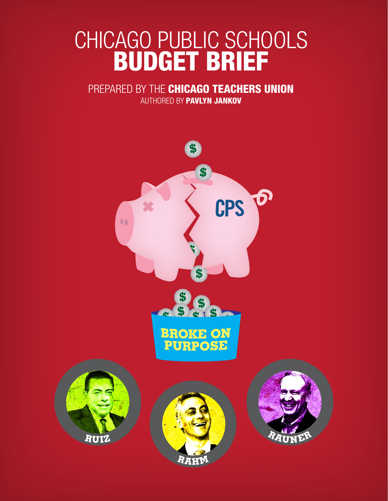# CHICAGO PUBLIC SCHOOLS BUDGET BRIEF

## PREPARED BY THE CHICAGO TEACHERS UNION

AUTHORED BY PAVLYN JANKOV

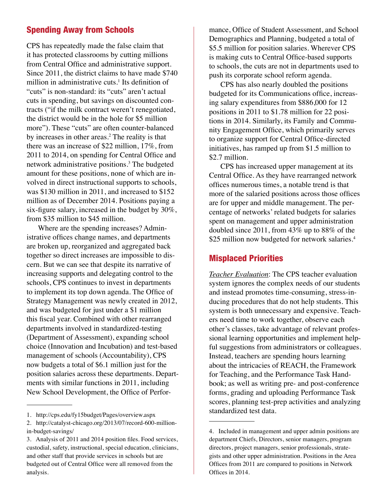### Spending Away from Schools

CPS has repeatedly made the false claim that it has protected classrooms by cutting millions from Central Office and administrative support. Since 2011, the district claims to have made \$740 million in administrative cuts.<sup>1</sup> Its definition of "cuts" is non-standard: its "cuts" aren't actual cuts in spending, but savings on discounted contracts ("if the milk contract weren't renegotiated, the district would be in the hole for \$5 million more"). These "cuts" are often counter-balanced by increases in other areas.<sup>2</sup> The reality is that there was an increase of \$22 million, 17%, from 2011 to 2014, on spending for Central Office and network administrative positions.<sup>3</sup> The budgeted amount for these positions, none of which are involved in direct instructional supports to schools, was \$130 million in 2011, and increased to \$152 million as of December 2014. Positions paying a six-figure salary, increased in the budget by 30%, from \$35 million to \$45 million.

Where are the spending increases? Administrative offices change names, and departments are broken up, reorganized and aggregated back together so direct increases are impossible to discern. But we can see that despite its narrative of increasing supports and delegating control to the schools, CPS continues to invest in departments to implement its top down agenda. The Office of Strategy Management was newly created in 2012, and was budgeted for just under a \$1 million this fiscal year. Combined with other rearranged departments involved in standardized-testing (Department of Assessment), expanding school choice (Innovation and Incubation) and test-based management of schools (Accountability), CPS now budgets a total of \$6.1 million just for the position salaries across these departments. Departments with similar functions in 2011, including New School Development, the Office of Performance, Office of Student Assessment, and School Demographics and Planning, budgeted a total of \$5.5 million for position salaries. Wherever CPS is making cuts to Central Office-based supports to schools, the cuts are not in departments used to push its corporate school reform agenda.

CPS has also nearly doubled the positions budgeted for its Communications office, increasing salary expenditures from \$886,000 for 12 positions in 2011 to \$1.78 million for 22 positions in 2014. Similarly, its Family and Community Engagement Office, which primarily serves to organize support for Central Office-directed initiatives, has ramped up from \$1.5 million to \$2.7 million.

CPS has increased upper management at its Central Office. As they have rearranged network offices numerous times, a notable trend is that more of the salaried positions across those offices are for upper and middle management. The percentage of networks' related budgets for salaries spent on management and upper administration doubled since 2011, from 43% up to 88% of the \$25 million now budgeted for network salaries.<sup>4</sup>

#### Misplaced Priorities

*Teacher Evaluation*: The CPS teacher evaluation system ignores the complex needs of our students and instead promotes time-consuming, stress-inducing procedures that do not help students. This system is both unnecessary and expensive. Teachers need time to work together, observe each other's classes, take advantage of relevant professional learning opportunities and implement helpful suggestions from administrators or colleagues. Instead, teachers are spending hours learning about the intricacies of REACH, the Framework for Teaching, and the Performance Task Handbook; as well as writing pre- and post-conference forms, grading and uploading Performance Task scores, planning test-prep activities and analyzing standardized test data.

<sup>1.</sup> http://cps.edu/fy15budget/Pages/overview.aspx

<sup>2.</sup> http://catalyst-chicago.org/2013/07/record-600-millionin-budget-savings/

<sup>3.</sup> Analysis of 2011 and 2014 position files. Food services, custodial, safety, instructional, special education, clinicians, and other staff that provide services in schools but are budgeted out of Central Office were all removed from the analysis.

<sup>4.</sup> Included in management and upper admin positions are department Chiefs, Directors, senior managers, program directors, project managers, senior professionals, strategists and other upper administration. Positions in the Area Offices from 2011 are compared to positions in Network Offices in 2014.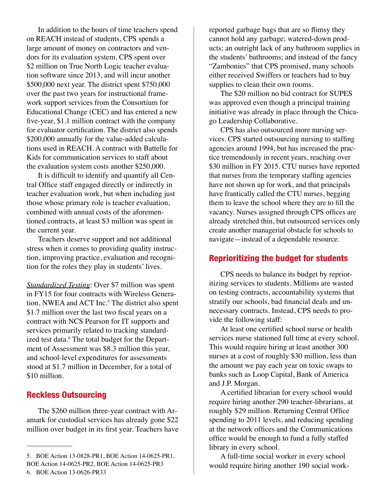In addition to the hours of time teachers spend on REACH instead of students, CPS spends a large amount of money on contractors and vendors for its evaluation system. CPS spent over \$2 million on True North Logic teacher evaluation software since 2013, and will incur another \$500,000 next year. The district spent \$750,000 over the past two years for instructional framework support services from the Consortium for Educational Change (CEC) and has entered a new five-year, \$1.1 million contract with the company for evaluator certification. The district also spends \$200,000 annually for the value-added calculations used in REACH. A contract with Battelle for Kids for communication services to staff about the evaluation system costs another \$250,000.

It is difficult to identify and quantify all Central Office staff engaged directly or indirectly in teacher evaluation work, but when including just those whose primary role is teacher evaluation, combined with annual costs of the aforementioned contracts, at least \$3 million was spent in the current year.

Teachers deserve support and not additional stress when it comes to providing quality instruction, improving practice, evaluation and recognition for the roles they play in students' lives.

*Standardized Testing*: Over \$7 million was spent in FY15 for four contracts with Wireless Generation, NWEA and ACT Inc.<sup>5</sup> The district also spent \$1.7 million over the last two fiscal years on a contract with NCS Pearson for IT supports and services primarily related to tracking standardized test data.<sup>6</sup> The total budget for the Department of Assessment was \$8.3 million this year, and school-level expenditures for assessments stood at \$1.7 million in December, for a total of \$10 million.

#### Reckless Outsourcing

The \$260 million three-year contract with Aramark for custodial services has already gone \$22 million over budget in its first year. Teachers have

The \$20 million no bid contract for SUPES was approved even though a principal training initiative was already in place through the Chicago Leadership Collaborative.

CPS has also outsourced more nursing services. CPS started outsourcing nursing to staffing agencies around 1994, but has increased the practice tremendously in recent years, reaching over \$30 million in FY 2015. CTU nurses have reported that nurses from the temporary staffing agencies have not shown up for work, and that principals have frantically called the CTU nurses, begging them to leave the school where they are to fill the vacancy. Nurses assigned through CPS offices are already stretched thin, but outsourced services only create another managerial obstacle for schools to navigate—instead of a dependable resource.

#### Reprioritizing the budget for students

CPS needs to balance its budget by reprioritizing services to students. Millions are wasted on testing contracts, accountability systems that stratify our schools, bad financial deals and unnecessary contracts. Instead, CPS needs to provide the following staff:

At least one certified school nurse or health services nurse stationed full time at every school. This would require hiring at least another 300 nurses at a cost of roughly \$30 million, less than the amount we pay each year on toxic swaps to banks such as Loop Capital, Bank of America and J.P. Morgan.

A certified librarian for every school would require hiring another 290 teacher-librarians, at roughly \$29 million. Returning Central Office spending to 2011 levels, and reducing spending at the network offices and the Communications office would be enough to fund a fully staffed library in every school.

A full-time social worker in every school would require hiring another 190 social work-

<sup>5.</sup> BOE Action 13-0828-PR1, BOE Action 14-0625-PR1, BOE Action 14-0625-PR2, BOE Action 14-0625-PR3

reported garbage bags that are so flimsy they cannot hold any garbage; watered-down products; an outright lack of any bathroom supplies in the students' bathrooms; and instead of the fancy "Zambonies" that CPS promised, many schools either received Swiffers or teachers had to buy supplies to clean their own rooms.

<sup>6.</sup> BOE Action 13-0626-PR33